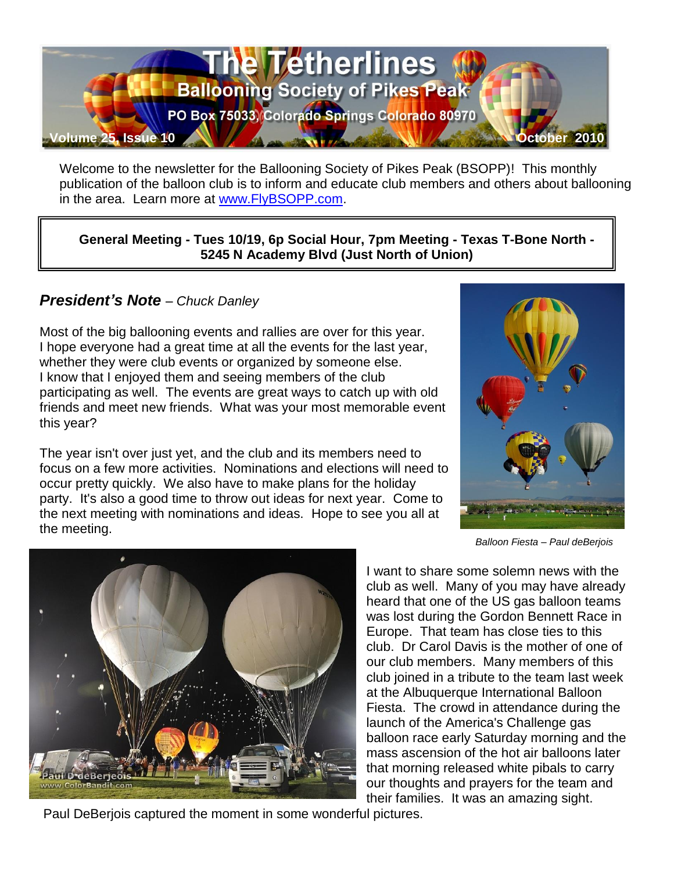

Welcome to the newsletter for the Ballooning Society of Pikes Peak (BSOPP)! This monthly publication of the balloon club is to inform and educate club members and others about ballooning in the area. Learn more at [www.FlyBSOPP.com.](http://www.flybsopp.com/)

**General Meeting - Tues 10/19, 6p Social Hour, 7pm Meeting - Texas T-Bone North - 5245 N Academy Blvd (Just North of Union)** 

## *President's Note – Chuck Danley*

Most of the big ballooning events and rallies are over for this year. I hope everyone had a great time at all the events for the last year, whether they were club events or organized by someone else. I know that I enjoyed them and seeing members of the club participating as well. The events are great ways to catch up with old friends and meet new friends. What was your most memorable event this year?

The year isn't over just yet, and the club and its members need to focus on a few more activities. Nominations and elections will need to occur pretty quickly. We also have to make plans for the holiday party. It's also a good time to throw out ideas for next year. Come to the next meeting with nominations and ideas. Hope to see you all at the meeting.



*Balloon Fiesta – Paul deBerjois*



I want to share some solemn news with the club as well. Many of you may have already heard that one of the US gas balloon teams was lost during the Gordon Bennett Race in Europe. That team has close ties to this club. Dr Carol Davis is the mother of one of our club members. Many members of this club joined in a tribute to the team last week at the Albuquerque International Balloon Fiesta. The crowd in attendance during the launch of the America's Challenge gas balloon race early Saturday morning and the mass ascension of the hot air balloons later that morning released white pibals to carry our thoughts and prayers for the team and their families. It was an amazing sight.

Paul DeBerjois captured the moment in some wonderful pictures.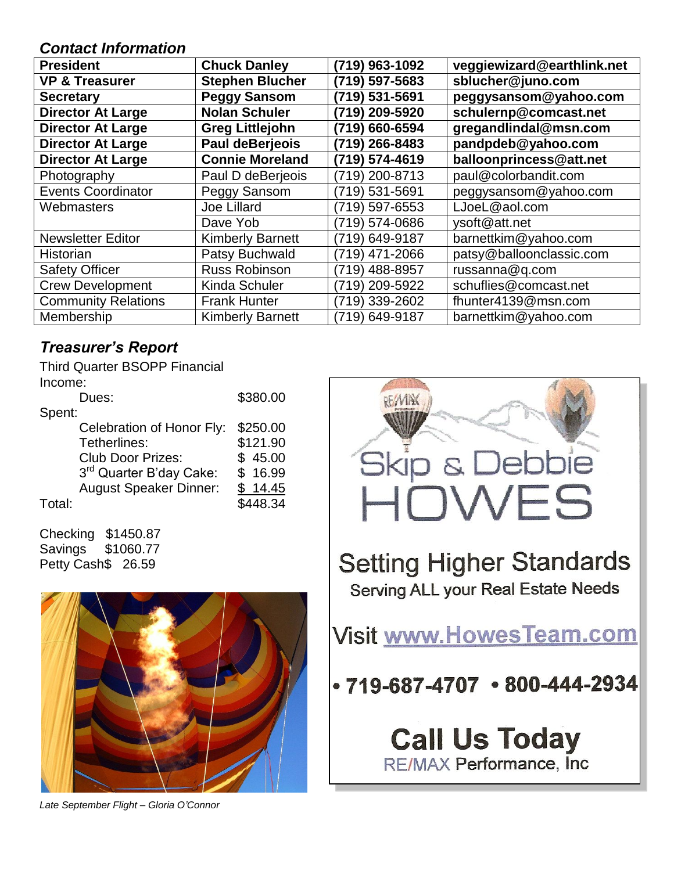## *Contact Information*

| <b>President</b>           | <b>Chuck Danley</b>     | (719) 963-1092 | veggiewizard@earthlink.net |
|----------------------------|-------------------------|----------------|----------------------------|
| <b>VP &amp; Treasurer</b>  | <b>Stephen Blucher</b>  | (719) 597-5683 | sblucher@juno.com          |
| <b>Secretary</b>           | <b>Peggy Sansom</b>     | (719) 531-5691 | peggysansom@yahoo.com      |
| <b>Director At Large</b>   | <b>Nolan Schuler</b>    | (719) 209-5920 | schulernp@comcast.net      |
| <b>Director At Large</b>   | <b>Greg Littlejohn</b>  | (719) 660-6594 | gregandlindal@msn.com      |
| <b>Director At Large</b>   | Paul deBerjeois         | (719) 266-8483 | pandpdeb@yahoo.com         |
| <b>Director At Large</b>   | <b>Connie Moreland</b>  | (719) 574-4619 | balloonprincess@att.net    |
| Photography                | Paul D deBerjeois       | (719) 200-8713 | paul@colorbandit.com       |
| <b>Events Coordinator</b>  | Peggy Sansom            | (719) 531-5691 | peggysansom@yahoo.com      |
| Webmasters                 | <b>Joe Lillard</b>      | (719) 597-6553 | LJoeL@aol.com              |
|                            | Dave Yob                | (719) 574-0686 | ysoft@att.net              |
| <b>Newsletter Editor</b>   | <b>Kimberly Barnett</b> | (719) 649-9187 | barnettkim@yahoo.com       |
| Historian                  | Patsy Buchwald          | (719) 471-2066 | patsy@balloonclassic.com   |
| <b>Safety Officer</b>      | <b>Russ Robinson</b>    | (719) 488-8957 | russanna@q.com             |
| <b>Crew Development</b>    | <b>Kinda Schuler</b>    | (719) 209-5922 | schuflies@comcast.net      |
| <b>Community Relations</b> | <b>Frank Hunter</b>     | (719) 339-2602 | fhunter4139@msn.com        |
| Membership                 | <b>Kimberly Barnett</b> | (719) 649-9187 | barnettkim@yahoo.com       |

# *Treasurer's Report*

Third Quarter BSOPP Financial Income: Dues: \$380.00 Spent:

|        | Celebration of Honor Fly:           | \$250.00 |
|--------|-------------------------------------|----------|
|        | Tetherlines:                        | \$121.90 |
|        | <b>Club Door Prizes:</b>            | \$45.00  |
|        | 3 <sup>rd</sup> Quarter B'day Cake: | \$16.99  |
|        | <b>August Speaker Dinner:</b>       | \$14.45  |
| Total: |                                     | \$448.34 |

Checking \$1450.87 Savings \$1060.77 Petty Cash\$ 26.59



**Call Us Today** RE/MAX Performance, Inc.



*Late September Flight – Gloria O'Connor*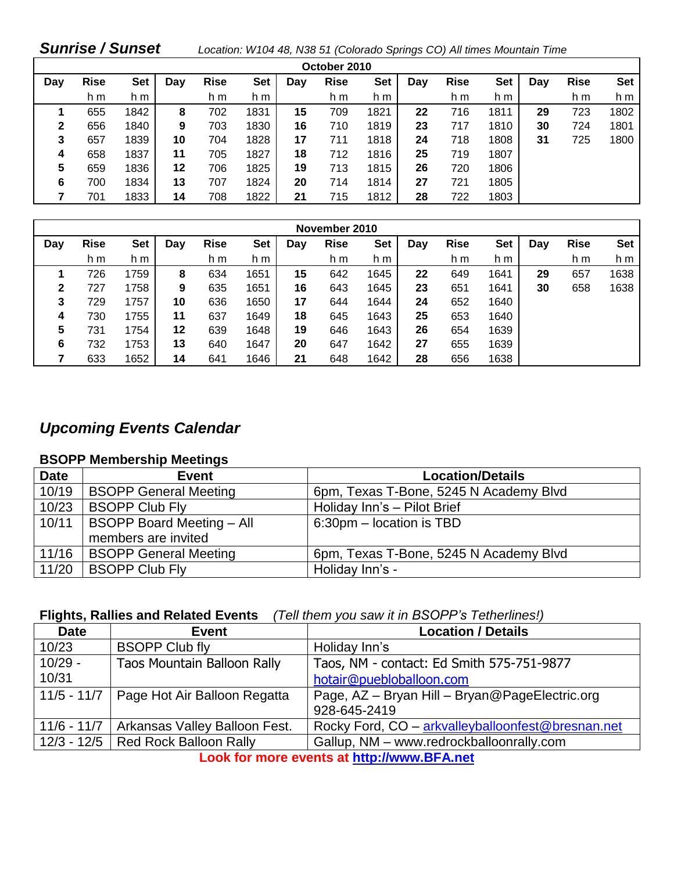## *Sunrise / Sunset Location: W104 48, N38 51 (Colorado Springs CO) All times Mountain Time*

| October 2010 |             |            |     |             |            |     |             |            |     |             |            |     |             |            |
|--------------|-------------|------------|-----|-------------|------------|-----|-------------|------------|-----|-------------|------------|-----|-------------|------------|
| Day          | <b>Rise</b> | <b>Set</b> | Day | <b>Rise</b> | <b>Set</b> | Dav | <b>Rise</b> | <b>Set</b> | Day | <b>Rise</b> | <b>Set</b> | Day | <b>Rise</b> | <b>Set</b> |
|              | h m         | h m        |     | h m         | h m        |     | h m         | h m        |     | h m         | h m        |     | h m         | h m        |
|              | 655         | 1842       | 8   | 702         | 1831       | 15  | 709         | 1821       | 22  | 716         | 1811       | 29  | 723         | 1802       |
| 2            | 656         | 1840       | 9   | 703         | 1830       | 16  | 710         | 1819       | 23  | 717         | 1810       | 30  | 724         | 1801       |
| 3            | 657         | 1839       | 10  | 704         | 1828       | 17  | 711         | 1818       | 24  | 718         | 1808       | 31  | 725         | 1800       |
| 4            | 658         | 1837       | 11  | 705         | 1827       | 18  | 712         | 1816       | 25  | 719         | 1807       |     |             |            |
| 5            | 659         | 1836       | 12  | 706         | 1825       | 19  | 713         | 1815       | 26  | 720         | 1806       |     |             |            |
| 6            | 700         | 1834       | 13  | 707         | 1824       | 20  | 714         | 1814       | 27  | 721         | 1805       |     |             |            |
|              | 701         | 1833       | 14  | 708         | 1822       | 21  | 715         | 1812       | 28  | 722         | 1803       |     |             |            |

| November 2010 |             |      |     |             |      |     |             |      |     |             |            |     |             |            |
|---------------|-------------|------|-----|-------------|------|-----|-------------|------|-----|-------------|------------|-----|-------------|------------|
| Day           | <b>Rise</b> | Set  | Day | <b>Rise</b> | Set  | Day | <b>Rise</b> | Set  | Day | <b>Rise</b> | <b>Set</b> | Day | <b>Rise</b> | <b>Set</b> |
|               | h m         | h m  |     | h m         | h m  |     | h m         | h m  |     | h m         | h m        |     | h m         | h m        |
|               | 726         | 1759 | 8   | 634         | 1651 | 15  | 642         | 1645 | 22  | 649         | 1641       | 29  | 657         | 1638       |
| 2             | 727         | 1758 | 9   | 635         | 1651 | 16  | 643         | 1645 | 23  | 651         | 1641       | 30  | 658         | 1638       |
| 3             | 729         | 1757 | 10  | 636         | 1650 | 17  | 644         | 1644 | 24  | 652         | 1640       |     |             |            |
| 4             | 730         | 1755 | 11  | 637         | 1649 | 18  | 645         | 1643 | 25  | 653         | 1640       |     |             |            |
| 5             | 731         | 1754 | 12  | 639         | 1648 | 19  | 646         | 1643 | 26  | 654         | 1639       |     |             |            |
| 6             | 732         | 1753 | 13  | 640         | 1647 | 20  | 647         | 1642 | 27  | 655         | 1639       |     |             |            |
|               | 633         | 1652 | 14  | 641         | 1646 | 21  | 648         | 1642 | 28  | 656         | 1638       |     |             |            |

## *Upcoming Events Calendar*

#### **BSOPP Membership Meetings**

| <b>Date</b> | <b>Event</b>                     | <b>Location/Details</b>                |
|-------------|----------------------------------|----------------------------------------|
| 10/19       | <b>BSOPP General Meeting</b>     | 6pm, Texas T-Bone, 5245 N Academy Blvd |
| 10/23       | <b>BSOPP Club Fly</b>            | Holiday Inn's - Pilot Brief            |
| 10/11       | <b>BSOPP Board Meeting - All</b> | 6:30pm - location is TBD               |
|             | members are invited              |                                        |
| 11/16       | <b>BSOPP General Meeting</b>     | 6pm, Texas T-Bone, 5245 N Academy Blvd |
| 11/20       | <b>BSOPP Club Fly</b>            | Holiday Inn's -                        |

## **Flights, Rallies and Related Events** *(Tell them you saw it in BSOPP's Tetherlines!)*

| <b>Date</b> | Event                                       | <b>Location / Details</b>                         |
|-------------|---------------------------------------------|---------------------------------------------------|
| 10/23       | <b>BSOPP Club fly</b>                       | Holiday Inn's                                     |
| $10/29 -$   | <b>Taos Mountain Balloon Rally</b>          | Taos, NM - contact: Ed Smith 575-751-9877         |
| 10/31       |                                             | hotair@puebloballoon.com                          |
|             | 11/5 - 11/7   Page Hot Air Balloon Regatta  | Page, AZ - Bryan Hill - Bryan@PageElectric.org    |
|             |                                             | 928-645-2419                                      |
|             | 11/6 - 11/7   Arkansas Valley Balloon Fest. | Rocky Ford, CO - arkvalleyballoonfest@bresnan.net |
|             | 12/3 - 12/5   Red Rock Balloon Rally        | Gallup, NM - www.redrockballoonrally.com          |

**Look for more events at [http://www.BFA.net](http://www.bfa.net/)**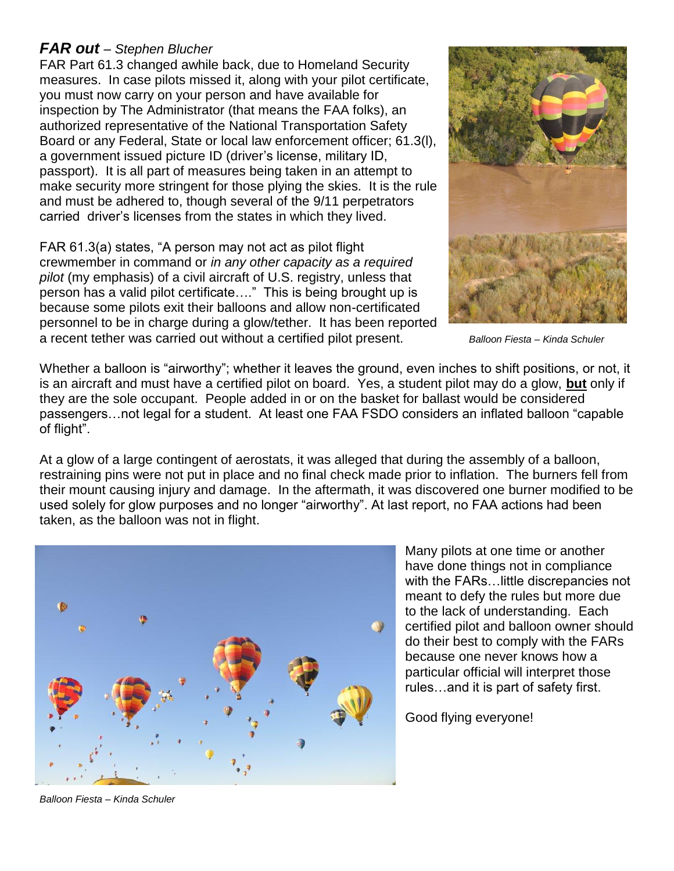### *FAR out – Stephen Blucher*

FAR Part 61.3 changed awhile back, due to Homeland Security measures. In case pilots missed it, along with your pilot certificate, you must now carry on your person and have available for inspection by The Administrator (that means the FAA folks), an authorized representative of the National Transportation Safety Board or any Federal, State or local law enforcement officer; 61.3(l), a government issued picture ID (driver's license, military ID, passport). It is all part of measures being taken in an attempt to make security more stringent for those plying the skies. It is the rule and must be adhered to, though several of the 9/11 perpetrators carried driver's licenses from the states in which they lived.

FAR 61.3(a) states, "A person may not act as pilot flight crewmember in command or *in any other capacity as a required pilot* (my emphasis) of a civil aircraft of U.S. registry, unless that person has a valid pilot certificate…." This is being brought up is because some pilots exit their balloons and allow non-certificated personnel to be in charge during a glow/tether. It has been reported a recent tether was carried out without a certified pilot present. *Balloon Fiesta – Kinda Schuler*



Whether a balloon is "airworthy"; whether it leaves the ground, even inches to shift positions, or not, it is an aircraft and must have a certified pilot on board. Yes, a student pilot may do a glow, **but** only if they are the sole occupant. People added in or on the basket for ballast would be considered passengers…not legal for a student. At least one FAA FSDO considers an inflated balloon "capable of flight".

At a glow of a large contingent of aerostats, it was alleged that during the assembly of a balloon, restraining pins were not put in place and no final check made prior to inflation. The burners fell from their mount causing injury and damage. In the aftermath, it was discovered one burner modified to be used solely for glow purposes and no longer "airworthy". At last report, no FAA actions had been taken, as the balloon was not in flight.



Many pilots at one time or another have done things not in compliance with the FARs…little discrepancies not meant to defy the rules but more due to the lack of understanding. Each certified pilot and balloon owner should do their best to comply with the FARs because one never knows how a particular official will interpret those rules…and it is part of safety first.

Good flying everyone!

*Balloon Fiesta – Kinda Schuler*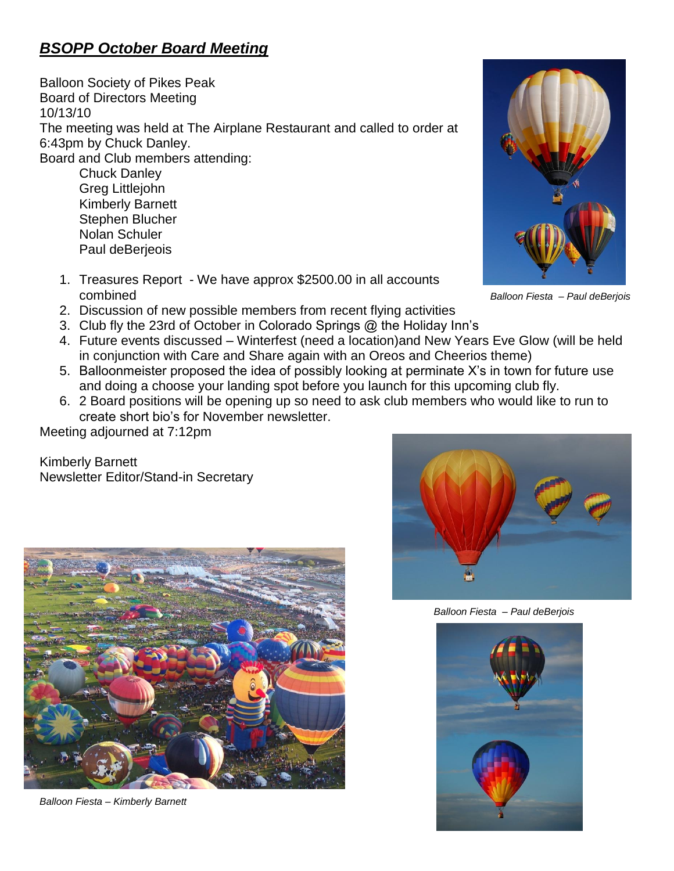## *BSOPP October Board Meeting*

Balloon Society of Pikes Peak Board of Directors Meeting 10/13/10 The meeting was held at The Airplane Restaurant and called to order at 6:43pm by Chuck Danley. Board and Club members attending:

Chuck Danley Greg Littlejohn Kimberly Barnett Stephen Blucher Nolan Schuler Paul deBerjeois

1. Treasures Report - We have approx \$2500.00 in all accounts combined *Balloon Fiesta – Paul deBerjois*



- 2. Discussion of new possible members from recent flying activities
- 3. Club fly the 23rd of October in Colorado Springs @ the Holiday Inn's
- 4. Future events discussed Winterfest (need a location)and New Years Eve Glow (will be held in conjunction with Care and Share again with an Oreos and Cheerios theme)
- 5. Balloonmeister proposed the idea of possibly looking at perminate X's in town for future use and doing a choose your landing spot before you launch for this upcoming club fly.
- 6. 2 Board positions will be opening up so need to ask club members who would like to run to create short bio's for November newsletter.

Meeting adjourned at 7:12pm

Kimberly Barnett Newsletter Editor/Stand-in Secretary



*Balloon Fiesta – Kimberly Barnett*



 *Balloon Fiesta – Paul deBerjois*